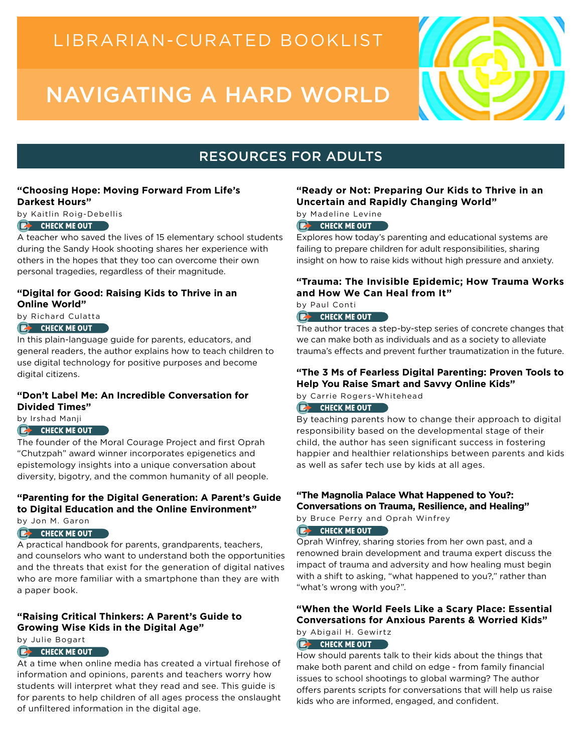# LIBRARIAN-CURATED BOOKLIST

# NAVIGATING A HARD WORLD



# RESOURCES FOR ADULTS

#### **"Choosing Hope: Moving Forward From Life's Darkest Hours"**

by Kaitlin Roig-Debellis

#### **CHECK ME OUT**

[A teacher who saved t](https://catalog.sclsnj.org/?section=resource&resourceid=16748674¤tIndex=0&view=fullDetailsDetailsTab)he lives of 15 elementary school students during the Sandy Hook shooting shares her experience with others in the hopes that they too can overcome their own personal tragedies, regardless of their magnitude.

#### **"Digital for Good: Raising Kids to Thrive in an Online World"**

[by Richard Culatta](https://catalog.sclsnj.org/?section=resource&resourceid=667643111¤tIndex=0&view=allCopiesDetailsTab)

#### **E** CHECK ME OUT

In this plain-language guide for parents, educators, and general readers, the author explains how to teach children to use digital technology for positive purposes and become digital citizens.

#### **"Don't Label Me: An Incredible Conversation for Divided Times"**

[by Irshad Manji](https://catalog.sclsnj.org/?section=resource&resourceid=113772402¤tIndex=0&view=fullDetailsDetailsTab)

#### **EXAMPLE CHECK ME OUT**

The founder of the Moral Courage Project and first Oprah "Chutzpah" award winner incorporates epigenetics and epistemology insights into a unique conversation about diversity, bigotry, and the common humanity of all people.

### **"Parenting for the Digital Generation: A Parent's Guide to Digital Education and the Online Environment"**

by Jon M. Garon

#### **E** CHECK ME OUT

[A practical handbook f](https://catalog.sclsnj.org/?section=resource&resourceid=804537145¤tIndex=0&view=fullDetailsDetailsTab)or parents, grandparents, teachers, and counselors who want to understand both the opportunities and the threats that exist for the generation of digital natives who are more familiar with a smartphone than they are with a paper book.

#### **"Raising Critical Thinkers: A Parent's Guide to Growing Wise Kids in the Digital Age"**

by Julie Bogart

### **CHECK ME OUT**

[At a time when online](https://catalog.sclsnj.org/?section=resource&resourceid=839135190¤tIndex=0&view=fullDetailsDetailsTab) media has created a virtual firehose of information and opinions, parents and teachers worry how students will interpret what they read and see. This guide is for parents to help children of all ages process the onslaught of unfiltered information in the digital age.

#### **"Ready or Not: Preparing Our Kids to Thrive in an Uncertain and Rapidly Changing World"**

by Madeline Levine

#### **EX CHECK ME OUT**

[Explores how today's p](https://catalog.sclsnj.org/?section=resource&resourceid=295342321¤tIndex=0&view=fullDetailsDetailsTab)arenting and educational systems are failing to prepare children for adult responsibilities, sharing insight on how to raise kids without high pressure and anxiety.

#### **"Trauma: The Invisible Epidemic; How Trauma Works and How We Can Heal from It"**

[by Paul Conti](https://catalog.sclsnj.org/?section=resource&resourceid=812639299¤tIndex=0&view=fullDetailsDetailsTab)

### **CHECK ME OUT**

The author traces a step-by-step series of concrete changes that we can make both as individuals and as a society to alleviate trauma's effects and prevent further traumatization in the future.

#### **"The 3 Ms of Fearless Digital Parenting: Proven Tools to Help You Raise Smart and Savvy Online Kids"**

[by Carrie Rogers-Whi](https://catalog.sclsnj.org/?section=resource&resourceid=710913889¤tIndex=0&view=fullDetailsDetailsTab)tehead **EXAMPLE CHECK ME OUT** 

By teaching parents how to change their approach to digital responsibility based on the developmental stage of their child, the author has seen significant success in fostering happier and healthier relationships between parents and kids as well as safer tech use by kids at all ages.

#### **"The Magnolia Palace What Happened to You?: Conversations on Trauma, Resilience, and Healing"**

by Bruce Perry and Oprah Winfrey

#### **CHECK ME OUT**

[Oprah Winfrey, sharing](https://catalog.sclsnj.org/?section=frbr&iid=515974¤tIndex=0&view=frbrFormatDisplayDetailsTab&facetFilters=%5B%5D) stories from her own past, and a renowned brain development and trauma expert discuss the impact of trauma and adversity and how healing must begin with a shift to asking, "what happened to you?," rather than "what's wrong with you?".

### **"When the World Feels Like a Scary Place: Essential Conversations for Anxious Parents & Worried Kids"**  by Abigail H. Gewirtz

#### **EX CHECK ME OUT**

[How should parents ta](https://catalog.sclsnj.org/?section=resource&resourceid=409485802¤tIndex=0&view=fullDetailsDetailsTab)lk to their kids about the things that make both parent and child on edge - from family financial issues to school shootings to global warming? The author offers parents scripts for conversations that will help us raise kids who are informed, engaged, and confident.